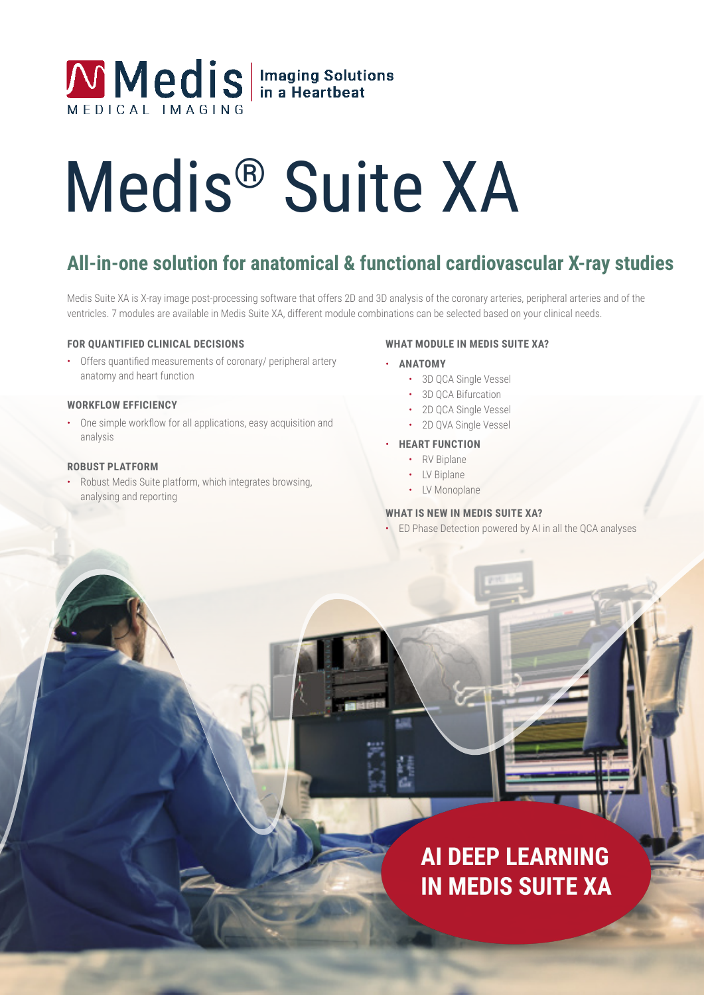## Medis | Imaging Solutions

# Medis® Suite XA

## **All-in-one solution for anatomical & functional cardiovascular X-ray studies**

Medis Suite XA is X-ray image post-processing software that offers 2D and 3D analysis of the coronary arteries, peripheral arteries and of the ventricles. 7 modules are available in Medis Suite XA, different module combinations can be selected based on your clinical needs.

## **FOR QUANTIFIED CLINICAL DECISIONS**

• Offers quantified measurements of coronary/ peripheral artery anatomy and heart function

### **WORKFLOW EFFICIENCY**

• One simple workflow for all applications, easy acquisition and analysis

## **ROBUST PLATFORM**

• Robust Medis Suite platform, which integrates browsing, analysing and reporting

## **WHAT MODULE IN MEDIS SUITE XA?**

- **ANATOMY**
	- 3D QCA Single Vessel
	- 3D OCA Bifurcation
	- 2D QCA Single Vessel
	- 2D QVA Single Vessel
- **HEART FUNCTION**
	- RV Biplane
	- IV Biplane
	- LV Monoplane

## **WHAT IS NEW IN MEDIS SUITE XA?**

• ED Phase Detection powered by AI in all the QCA analyses

## **AI DEEP LEARNING IN MEDIS SUITE XA**